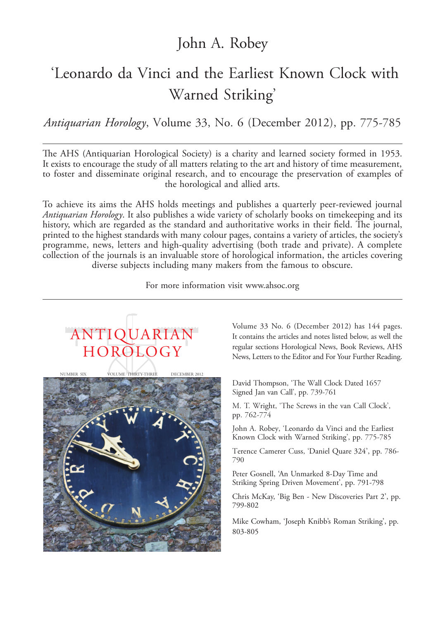### John A. Robey

# 'Leonardo da Vinci and the Earliest Known Clock with Warned Striking'

*Antiquarian Horology*, Volume 33, No. 6 (December 2012), pp. 775-785

The AHS (Antiquarian Horological Society) is a charity and learned society formed in 1953. It exists to encourage the study of all matters relating to the art and history of time measurement, to foster and disseminate original research, and to encourage the preservation of examples of the horological and allied arts.

To achieve its aims the AHS holds meetings and publishes a quarterly peer-reviewed journal *Antiquarian Horology*. It also publishes a wide variety of scholarly books on timekeeping and its history, which are regarded as the standard and authoritative works in their field. The journal, printed to the highest standards with many colour pages, contains a variety of articles, the society's programme, news, letters and high-quality advertising (both trade and private). A complete collection of the journals is an invaluable store of horological information, the articles covering diverse subjects including many makers from the famous to obscure.

For more information visit www.ahsoc.org



Volume 33 No. 6 (December 2012) has 144 pages. It contains the articles and notes listed below, as well the regular sections Horological News, Book Reviews, AHS News, Letters to the Editor and For Your Further Reading.

David Thompson, 'The Wall Clock Dated 1657 Signed Jan van Call', pp. 739-761

M. T. Wright, 'The Screws in the van Call Clock', pp. 762-774

John A. Robey, 'Leonardo da Vinci and the Earliest Known Clock with Warned Striking', pp. 775-785

Terence Camerer Cuss, 'Daniel Quare 324', pp. 786- 790

Peter Gosnell, 'An Unmarked 8-Day Time and Striking Spring Driven Movement', pp. 791-798

Chris McKay, 'Big Ben - New Discoveries Part 2', pp. 799-802

Mike Cowham, 'Joseph Knibb's Roman Striking', pp. 803-805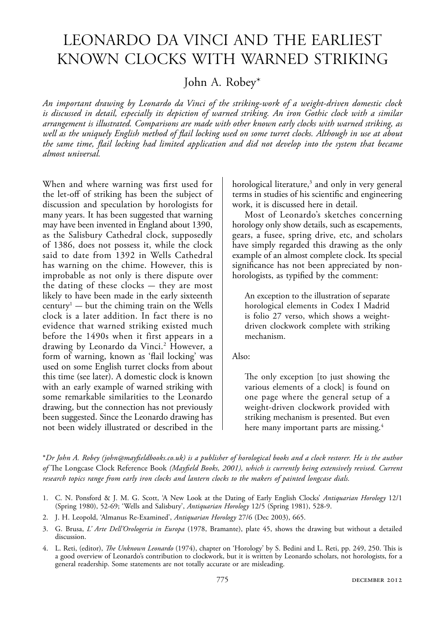## Leonardo da Vinci and the earLiest Known cLocKs with warned striKing

John A. Robey\*

*An important drawing by Leonardo da Vinci of the striking-work of a weight-driven domestic clock is discussed in detail, especially its depiction of warned striking. An iron Gothic clock with a similar arrangement is illustrated. Comparisons are made with other known early clocks with warned striking, as well as the uniquely English method of lail locking used on some turret clocks. Although in use at about the same time, lail locking had limited application and did not develop into the system that became almost universal.*

When and where warning was first used for the let-off of striking has been the subject of discussion and speculation by horologists for many years. It has been suggested that warning may have been invented in England about 1390, as the Salisbury Cathedral clock, supposedly of 1386, does not possess it, while the clock said to date from 1392 in Wells Cathedral has warning on the chime. However, this is improbable as not only is there dispute over the dating of these clocks  $-$  they are most likely to have been made in the early sixteenth  $century<sup>1</sup>$   $-$  but the chiming train on the Wells clock is a later addition. In fact there is no evidence that warned striking existed much before the 1490s when it first appears in a drawing by Leonardo da Vinci.<sup>2</sup> However, a form of warning, known as 'flail locking' was used on some English turret clocks from about this time (see later). A domestic clock is known with an early example of warned striking with some remarkable similarities to the Leonardo drawing, but the connection has not previously been suggested. Since the Leonardo drawing has not been widely illustrated or described in the

horological literature,<sup>3</sup> and only in very general terms in studies of his scientific and engineering work, it is discussed here in detail.

Most of Leonardo's sketches concerning horology only show details, such as escapements, gears, a fusee, spring drive, etc, and scholars have simply regarded this drawing as the only example of an almost complete clock. Its special significance has not been appreciated by nonhorologists, as typified by the comment:

An exception to the illustration of separate horological elements in Codex I Madrid is folio 27 verso, which shows a weightdriven clockwork complete with striking mechanism.

#### Also:

he only exception [to just showing the various elements of a clock] is found on one page where the general setup of a weight-driven clockwork provided with striking mechanism is presented. But even here many important parts are missing.<sup>4</sup>

\**Dr John A. Robey (john@mayieldbooks.co.uk) is a publisher of horological books and a clock restorer. He is the author of* he Longcase Clock Reference Book *(Mayield Books, 2001), which is currently being extensively revised. Current research topics range from early iron clocks and lantern clocks to the makers of painted longcase dials.*

- 1. C. N. Ponsford & J. M. G. Scott, 'A New Look at the Dating of Early English Clocks' *Antiquarian Horology* 12/1 (Spring 1980), 52-69; 'Wells and Salisbury', *Antiquarian Horology* 12/5 (Spring 1981), 528-9.
- 2. J. H. Leopold, 'Almanus Re-Examined', *Antiquarian Horology* 27/6 (Dec 2003), 665.
- 3. G. Brusa, *L' Arte Dell'Orologeria in Europa* (1978, Bramante), plate 45, shows the drawing but without a detailed discussion.
- 4. L. Reti, (editor), *The Unknown Leonardo* (1974), chapter on 'Horology' by S. Bedini and L. Reti, pp. 249, 250. This is a good overview of Leonardo's contribution to clockwork, but it is written by Leonardo scholars, not horologists, for a general readership. Some statements are not totally accurate or are misleading.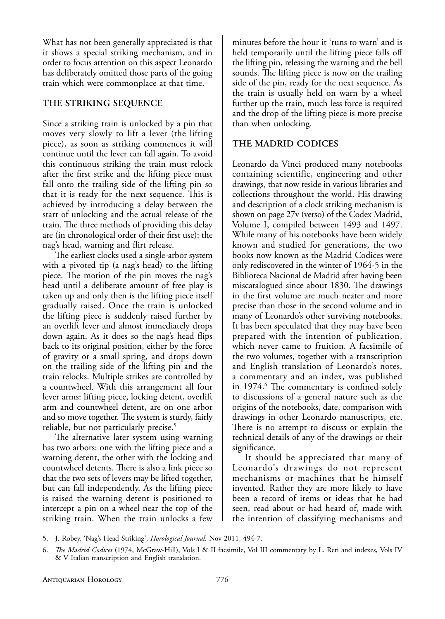What has not been generally appreciated is that it shows a special striking mechanism, and in order to focus attention on this aspect Leonardo has deliberately omitted those parts of the going train which were commonplace at that time.

#### **The STriking Sequence**

Since a striking train is unlocked by a pin that moves very slowly to lift a lever (the lifting piece), as soon as striking commences it will continue until the lever can fall again. To avoid this continuous striking the train must relock after the first strike and the lifting piece must fall onto the trailing side of the lifting pin so that it is ready for the next sequence. This is achieved by introducing a delay between the start of unlocking and the actual release of the train. The three methods of providing this delay are (in chronological order of their first use): the nag's head, warning and flirt release.

he earliest clocks used a single-arbor system with a pivoted tip (a nag's head) to the lifting piece. The motion of the pin moves the nag's head until a deliberate amount of free play is taken up and only then is the lifting piece itself gradually raised. Once the train is unlocked the lifting piece is suddenly raised further by an overlift lever and almost immediately drops down again. As it does so the nag's head flips back to its original position, either by the force of gravity or a small spring, and drops down on the trailing side of the lifting pin and the train relocks. Multiple strikes are controlled by a countwheel. With this arrangement all four lever arms: lifting piece, locking detent, overlift arm and countwheel detent, are on one arbor and so move together. The system is sturdy, fairly reliable, but not particularly precise.<sup>5</sup>

he alternative later system using warning has two arbors: one with the lifting piece and a warning detent, the other with the locking and countwheel detents. There is also a link piece so that the two sets of levers may be lifted together, but can fall independently. As the lifting piece is raised the warning detent is positioned to intercept a pin on a wheel near the top of the striking train. When the train unlocks a few

minutes before the hour it 'runs to warn' and is held temporarily until the lifting piece falls off the lifting pin, releasing the warning and the bell sounds. The lifting piece is now on the trailing side of the pin, ready for the next sequence. As the train is usually held on warn by a wheel further up the train, much less force is required and the drop of the lifting piece is more precise than when unlocking.

#### **The Madrid codiceS**

Leonardo da Vinci produced many notebooks containing scientific, engineering and other drawings, that now reside in various libraries and collections throughout the world. His drawing and description of a clock striking mechanism is shown on page 27v (verso) of the Codex Madrid, Volume I, compiled between 1493 and 1497. While many of his notebooks have been widely known and studied for generations, the two books now known as the Madrid Codices were only rediscovered in the winter of 1964-5 in the Biblioteca Nacional de Madrid after having been miscatalogued since about 1830. The drawings in the first volume are much neater and more precise than those in the second volume and in many of Leonardo's other surviving notebooks. It has been speculated that they may have been prepared with the intention of publication, which never came to fruition. A facsimile of the two volumes, together with a transcription and English translation of Leonardo's notes, a commentary and an index, was published in 1974.<sup>6</sup> The commentary is confined solely to discussions of a general nature such as the origins of the notebooks, date, comparison with drawings in other Leonardo manuscripts, etc. here is no attempt to discuss or explain the technical details of any of the drawings or their significance.

It should be appreciated that many of Leonardo's drawings do not represent mechanisms or machines that he himself invented. Rather they are more likely to have been a record of items or ideas that he had seen, read about or had heard of, made with the intention of classifying mechanisms and

5. J. Robey, 'Nag's Head Striking', *Horological Journal,* Nov 2011, 494-7.

<sup>6.</sup> *he Madrid Codices* (1974, McGraw-Hill), Vols I & II facsimile, Vol III commentary by L. Reti and indexes, Vols IV & V Italian transcription and English translation.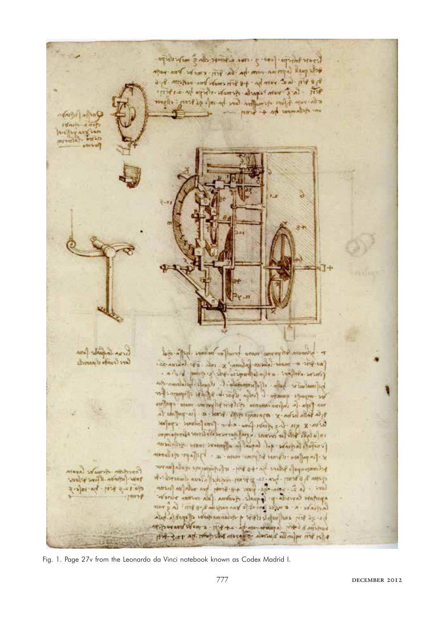From thirtyon procession and client would be the po tells quest lappe ma rom the far fill empt be been room of a fill - Last room for + 8 fill comebe bonn raticities - 8, 6 Art - la's run compe esmale thepe in the Elle rupe que examples love be vele gé ferez: ellever  $-$  read to move to  $+$  from  $\frac{1}{2}$  and  $\frac{1}{2}$  and  $\frac{1}{2}$ Idoles e més A-o' Ay any sun annual Arry SANGAL ANYI been to premo motor profit with the best of a Liberary is of Aust 1990 AD ANYAN C - ANT X MONDAY MISSION - OF HISP ON - a sad (more state original alla a condata send) before the baller of chemicale for departs believe the or imports amongo i futio special part species species and four- or window water estates and we were - spelling a) anthorized a many ethis man x adsustants of 4. U. X X AN . Y . SUN . TON . WHERE . ( ITS COUNTS . CAN THE unpor aperala secretary - create purpose the first abreve mynu man also seam would a langed it ware al florest or - for pallace - illevere between more - a - + jeffe pr et alorese per contempo - per context por + 3 871 . El personante con l'answer MAYA) : VENTIFICATION week + smith - ninetic - swar  $014 + 5 + 124 + 54 + 16 + 5$  $Hrrf$ לתכונת מי ב משלון בחיתך לי לחת רוקבות ביש להו לחל דוור has all ship and well the is the momentum of any is and M. P want st un = H'++x - Ap an want a THO & Attend Fire Set Ad thus the next of the police and the 11st plat

Fig. 1. Page 27v from the Leonardo da Vinci notebook known as Codex Madrid I.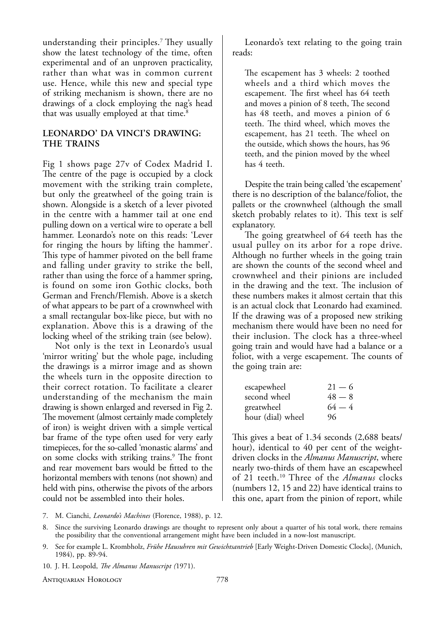understanding their principles.<sup>7</sup> They usually show the latest technology of the time, often experimental and of an unproven practicality, rather than what was in common current use. Hence, while this new and special type of striking mechanism is shown, there are no drawings of a clock employing the nag's head that was usually employed at that time.<sup>8</sup>

#### **Leonardo' da Vinci'S drawing: The TrainS**

Fig 1 shows page 27v of Codex Madrid I. he centre of the page is occupied by a clock movement with the striking train complete, but only the greatwheel of the going train is shown. Alongside is a sketch of a lever pivoted in the centre with a hammer tail at one end pulling down on a vertical wire to operate a bell hammer. Leonardo's note on this reads: 'Lever for ringing the hours by lifting the hammer'. his type of hammer pivoted on the bell frame and falling under gravity to strike the bell, rather than using the force of a hammer spring, is found on some iron Gothic clocks, both German and French/Flemish. Above is a sketch of what appears to be part of a crownwheel with a small rectangular box-like piece, but with no explanation. Above this is a drawing of the locking wheel of the striking train (see below).

Not only is the text in Leonardo's usual 'mirror writing' but the whole page, including the drawings is a mirror image and as shown the wheels turn in the opposite direction to their correct rotation. To facilitate a clearer understanding of the mechanism the main drawing is shown enlarged and reversed in Fig 2. he movement (almost certainly made completely of iron) is weight driven with a simple vertical bar frame of the type often used for very early timepieces, for the so-called 'monastic alarms' and on some clocks with striking trains.<sup>9</sup> The front and rear movement bars would be fitted to the horizontal members with tenons (not shown) and held with pins, otherwise the pivots of the arbors could not be assembled into their holes.

Leonardo's text relating to the going train reads:

he escapement has 3 wheels: 2 toothed wheels and a third which moves the escapement. The first wheel has 64 teeth and moves a pinion of 8 teeth, The second has 48 teeth, and moves a pinion of 6 teeth. The third wheel, which moves the escapement, has 21 teeth. The wheel on the outside, which shows the hours, has 96 teeth, and the pinion moved by the wheel has 4 teeth.

Despite the train being called 'the escapement' there is no description of the balance/foliot, the pallets or the crownwheel (although the small sketch probably relates to it). This text is self explanatory.

he going greatwheel of 64 teeth has the usual pulley on its arbor for a rope drive. Although no further wheels in the going train are shown the counts of the second wheel and crownwheel and their pinions are included in the drawing and the text. The inclusion of these numbers makes it almost certain that this is an actual clock that Leonardo had examined. If the drawing was of a proposed new striking mechanism there would have been no need for their inclusion. The clock has a three-wheel going train and would have had a balance or a foliot, with a verge escapement. The counts of the going train are:

| escapewheel       | $21 - 6$ |
|-------------------|----------|
| second wheel      | $48 - 8$ |
| greatwheel        | $64 - 4$ |
| hour (dial) wheel | 96       |

his gives a beat of 1.34 seconds (2,688 beats/ hour), identical to 40 per cent of the weightdriven clocks in the *Almanus Manuscript*, where nearly two-thirds of them have an escapewheel of 21 teeth.<sup>10</sup> Three of the *Almanus* clocks (numbers 12, 15 and 22) have identical trains to this one, apart from the pinion of report, while

7. M. Cianchi, *Leonardo's Machines* (Florence, 1988), p. 12.

- 9. See for example L. Krombholz, *Frühe Hausuhren mit Gewichtsantrieb* [Early Weight-Driven Domestic Clocks], (Munich, 1984), pp. 89-94.
- 10. J. H. Leopold, *he Almanus Manuscript (*1971).

Antiquarian Horology 778

Since the surviving Leonardo drawings are thought to represent only about a quarter of his total work, there remains the possibility that the conventional arrangement might have been included in a now-lost manuscript.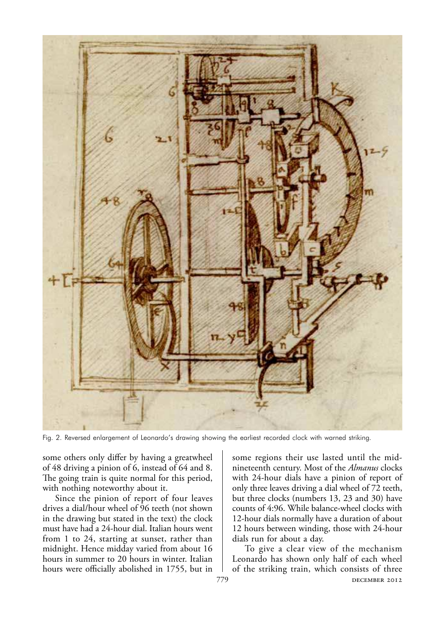

Fig. 2. Reversed enlargement of Leonardo's drawing showing the earliest recorded clock with warned striking.

some others only difer by having a greatwheel of 48 driving a pinion of 6, instead of 64 and 8. he going train is quite normal for this period, with nothing noteworthy about it.

Since the pinion of report of four leaves drives a dial/hour wheel of 96 teeth (not shown in the drawing but stated in the text) the clock must have had a 24-hour dial. Italian hours went from 1 to 24, starting at sunset, rather than midnight. Hence midday varied from about 16 hours in summer to 20 hours in winter. Italian hours were officially abolished in 1755, but in some regions their use lasted until the midnineteenth century. Most of the *Almanus* clocks with 24-hour dials have a pinion of report of only three leaves driving a dial wheel of 72 teeth, but three clocks (numbers 13, 23 and 30) have counts of 4:96. While balance-wheel clocks with 12-hour dials normally have a duration of about 12 hours between winding, those with 24-hour dials run for about a day.

779 **DECEMBER 2012** To give a clear view of the mechanism Leonardo has shown only half of each wheel of the striking train, which consists of three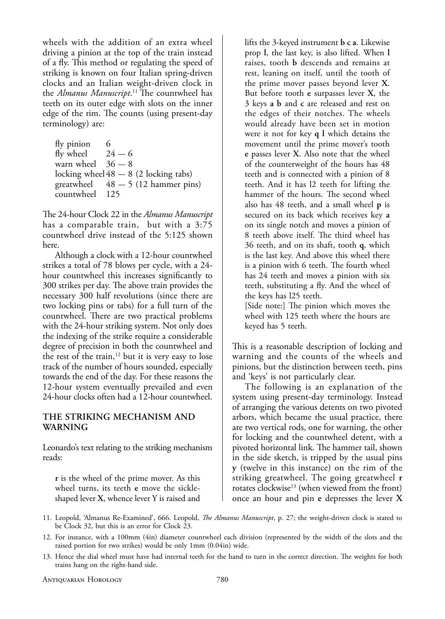wheels with the addition of an extra wheel driving a pinion at the top of the train instead of a fly. This method or regulating the speed of striking is known on four Italian spring-driven clocks and an Italian weight-driven clock in the *Almanus Manuscript*.<sup>11</sup> The countwheel has teeth on its outer edge with slots on the inner edge of the rim. The counts (using present-day terminology) are:

| 6                                       |
|-----------------------------------------|
| $24 - 6$                                |
| warn wheel $36 - 8$                     |
| locking wheel $48 - 8$ (2 locking tabs) |
| greatwheel $48 - 5$ (12 hammer pins)    |
| countwheel 125                          |
|                                         |

he 24-hour Clock 22 in the *Almanus Manuscript* has a comparable train, but with a 3:75 countwheel drive instead of the 5:125 shown here.

Although a clock with a 12-hour countwheel strikes a total of 78 blows per cycle, with a 24 hour countwheel this increases significantly to 300 strikes per day. The above train provides the necessary 300 half revolutions (since there are two locking pins or tabs) for a full turn of the countwheel. There are two practical problems with the 24-hour striking system. Not only does the indexing of the strike require a considerable degree of precision in both the countwheel and the rest of the train,<sup>12</sup> but it is very easy to lose track of the number of hours sounded, especially towards the end of the day. For these reasons the 12-hour system eventually prevailed and even 24-hour clocks often had a 12-hour countwheel.

#### **The STriking MechaniSM and warning**

Leonardo's text relating to the striking mechanism reads:

**r** is the wheel of the prime mover. As this wheel turns, its teeth **e** move the sickleshaped lever **X**, whence lever Y is raised and

lifts the 3-keyed instrument **b c a**. Likewise prop **l**, the last key, is also lifted. When **l** raises, tooth **b** descends and remains at rest, leaning on itself, until the tooth of the prime mover passes beyond lever **X**. But before tooth **e** surpasses lever **X**, the 3 keys **a b** and **c** are released and rest on the edges of their notches. The wheels would already have been set in motion were it not for key **q l** which detains the movement until the prime mover's tooth **e** passes lever **X**. Also note that the wheel of the counterweight of the hours has 48 teeth and is connected with a pinion of 8 teeth. And it has l2 teeth for lifting the hammer of the hours. The second wheel also has 48 teeth, and a small wheel **p** is secured on its back which receives key **a** on its single notch and moves a pinion of 8 teeth above itself. The third wheel has 36 teeth, and on its shaft, tooth **q**, which is the last key. And above this wheel there is a pinion with 6 teeth. The fourth wheel has 24 teeth and moves a pinion with six teeth, substituting a fly. And the wheel of the keys has l25 teeth.

[Side note:] The pinion which moves the wheel with 125 teeth where the hours are keyed has 5 teeth.

his is a reasonable description of locking and warning and the counts of the wheels and pinions, but the distinction between teeth, pins and 'keys' is not particularly clear.

The following is an explanation of the system using present-day terminology. Instead of arranging the various detents on two pivoted arbors, which became the usual practice, there are two vertical rods, one for warning, the other for locking and the countwheel detent, with a pivoted horizontal link. The hammer tail, shown in the side sketch, is tripped by the usual pins **y** (twelve in this instance) on the rim of the striking greatwheel. The going greatwheel **r** rotates clockwise<sup>13</sup> (when viewed from the front) once an hour and pin **e** depresses the lever **X**

- 11. Leopold, 'Almanus Re-Examined', 666. Leopold, *he Almanus Manuscript*, p. 27; the weight-driven clock is stated to be Clock 32, but this is an error for Clock 23.
- 12. For instance, with a 100mm (4in) diameter countwheel each division (represented by the width of the slots and the raised portion for two strikes) would be only 1mm (0.04in) wide.
- 13. Hence the dial wheel must have had internal teeth for the hand to turn in the correct direction. The weights for both trains hang on the right-hand side.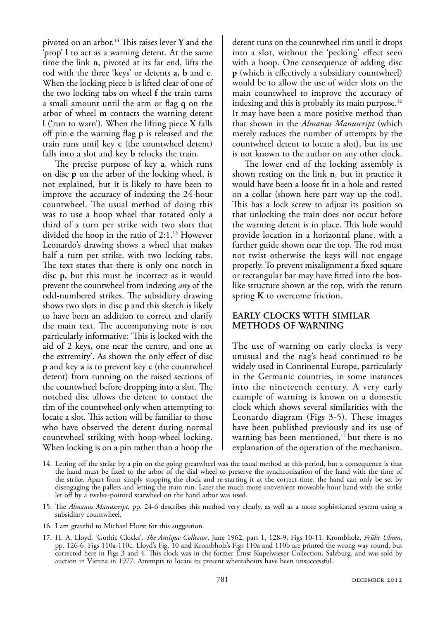pivoted on an arbor.<sup>14</sup> This raises lever **Y** and the 'prop' **l** to act as a warning detent. At the same time the link **n**, pivoted at its far end, lifts the rod with the three 'keys' or detents **a, b** and **c**. When the locking piece b is lifted clear of one of the two locking tabs on wheel **f** the train turns a small amount until the arm or lag **q** on the arbor of wheel **m** contacts the warning detent **l** ('run to warn'). When the lifting piece **X** falls of pin **e** the warning lag **p** is released and the train runs until key **c** (the countwheel detent) falls into a slot and key **b** relocks the train.

he precise purpose of key **a**, which runs on disc **p** on the arbor of the locking wheel, is not explained, but it is likely to have been to improve the accuracy of indexing the 24-hour countwheel. The usual method of doing this was to use a hoop wheel that rotated only a third of a turn per strike with two slots that divided the hoop in the ratio of 2:1.<sup>15</sup> However Leonardo's drawing shows a wheel that makes half a turn per strike, with two locking tabs. The text states that there is only one notch in disc **p**, but this must be incorrect as it would prevent the countwheel from indexing *any* of the odd-numbered strikes. The subsidiary drawing shows two slots in disc **p** and this sketch is likely to have been an addition to correct and clarify the main text. The accompanying note is not particularly informative: 'This is locked with the aid of 2 keys, one near the centre, and one at the extremity'. As shown the only efect of disc **p** and key **a** is to prevent key **c** (the countwheel detent) from running on the raised sections of the countwheel before dropping into a slot. The notched disc allows the detent to contact the rim of the countwheel only when attempting to locate a slot. This action will be familiar to those who have observed the detent during normal countwheel striking with hoop-wheel locking. When locking is on a pin rather than a hoop the

detent runs on the countwheel rim until it drops into a slot, without the 'pecking' efect seen with a hoop. One consequence of adding disc **p** (which is efectively a subsidiary countwheel) would be to allow the use of wider slots on the main countwheel to improve the accuracy of indexing and this is probably its main purpose.<sup>16</sup> It may have been a more positive method than that shown in the *Almanus Manuscript* (which merely reduces the number of attempts by the countwheel detent to locate a slot), but its use is not known to the author on any other clock.

he lower end of the locking assembly is shown resting on the link **n**, but in practice it would have been a loose fit in a hole and rested on a collar (shown here part way up the rod). his has a lock screw to adjust its position so that unlocking the train does not occur before the warning detent is in place. This hole would provide location in a horizontal plane, with a further guide shown near the top. The rod must not twist otherwise the keys will not engage properly. To prevent misalignment a fixed square or rectangular bar may have fitted into the boxlike structure shown at the top, with the return spring **k** to overcome friction.

#### **earLY cLockS wiTh SiMiLar MeThodS oF warning**

The use of warning on early clocks is very unusual and the nag's head continued to be widely used in Continental Europe, particularly in the Germanic countries, in some instances into the nineteenth century. A very early example of warning is known on a domestic clock which shows several similarities with the Leonardo diagram (Figs 3-5). These images have been published previously and its use of warning has been mentioned,<sup>17</sup> but there is no explanation of the operation of the mechanism.

16. I am grateful to Michael Hurst for this suggestion.

<sup>14.</sup> Letting of the strike by a pin on the going greatwheel was the usual method at this period, but a consequence is that the hand must be ixed to the arbor of the dial wheel to preserve the synchronisation of the hand with the time of the strike. Apart from simply stopping the clock and re-starting it at the correct time, the hand can only be set by disengaging the pallets and letting the train run. Later the much more convenient moveable hour hand with the strike let off by a twelve-pointed starwheel on the hand arbor was used.

<sup>15.</sup> he *Almanus Manuscript*, pp. 24-6 describes this method very clearly, as well as a more sophisticated system using a subsidiary countwheel.

<sup>17.</sup> H. A. Lloyd, 'Gothic Clocks', *he Antique Collector*, June 1962, part 1, 128-9, Figs 10-11. Krombholz, *Frühe Uhren*, pp. 126-6, Figs 110a-110c. Lloyd's Fig. 10 and Krombholz's Figs 110a and 110b are printed the wrong way round, but corrected here in Figs 3 and 4. This clock was in the former Ernst Kupelwieser Collection, Salzburg, and was sold by auction in Vienna in 1977. Attempts to locate its present whereabouts have been unsuccessful.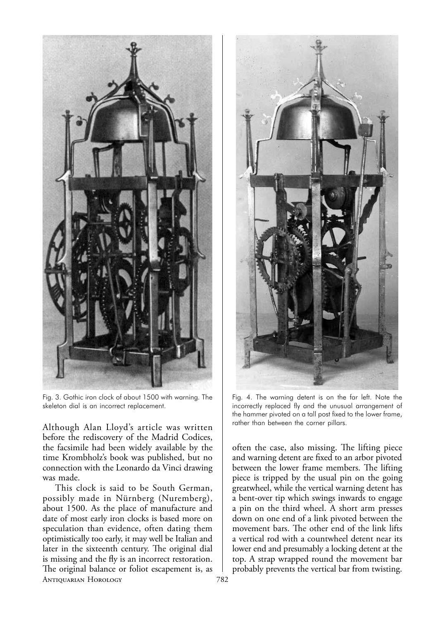

Fig. 3. Gothic iron clock of about 1500 with warning. The skeleton dial is an incorrect replacement.

Although Alan Lloyd's article was written before the rediscovery of the Madrid Codices, the facsimile had been widely available by the time Krombholz's book was published, but no connection with the Leonardo da Vinci drawing was made.

Antiquarian Horology 782 This clock is said to be South German, possibly made in Nürnberg (Nuremberg), about 1500. As the place of manufacture and date of most early iron clocks is based more on speculation than evidence, often dating them optimistically too early, it may well be Italian and later in the sixteenth century. The original dial is missing and the fly is an incorrect restoration. he original balance or foliot escapement is, as



Fig. 4. The warning detent is on the far left. Note the incorrectly replaced fly and the unusual arrangement of the hammer pivoted on a tall post fixed to the lower frame, rather than between the corner pillars.

often the case, also missing. The lifting piece and warning detent are fixed to an arbor pivoted between the lower frame members. The lifting piece is tripped by the usual pin on the going greatwheel, while the vertical warning detent has a bent-over tip which swings inwards to engage a pin on the third wheel. A short arm presses down on one end of a link pivoted between the movement bars. The other end of the link lifts a vertical rod with a countwheel detent near its lower end and presumably a locking detent at the top. A strap wrapped round the movement bar probably prevents the vertical bar from twisting.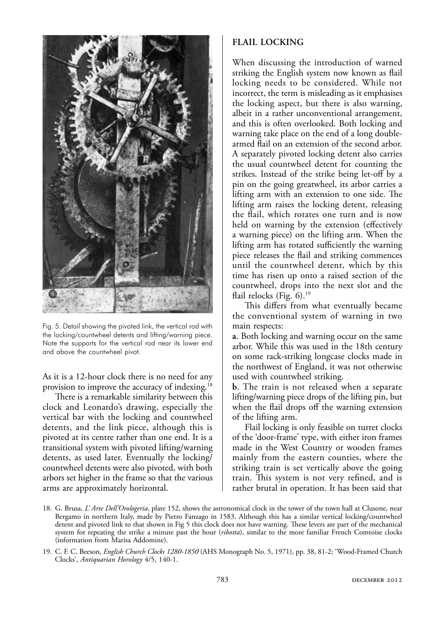

Fig. 5. Detail showing the pivoted link, the vertical rod with the locking/countwheel detents and lifting/warning piece. Note the supports for the vertical rod near its lower end and above the countwheel pivot.

As it is a 12-hour clock there is no need for any provision to improve the accuracy of indexing.<sup>18</sup>

here is a remarkable similarity between this clock and Leonardo's drawing, especially the vertical bar with the locking and countwheel detents, and the link piece, although this is pivoted at its centre rather than one end. It is a transitional system with pivoted lifting/warning detents, as used later. Eventually the locking/ countwheel detents were also pivoted, with both arbors set higher in the frame so that the various arms are approximately horizontal.

#### **FLaiL Locking**

When discussing the introduction of warned striking the English system now known as flail locking needs to be considered. While not incorrect, the term is misleading as it emphasises the locking aspect, but there is also warning, albeit in a rather unconventional arrangement, and this is often overlooked. Both locking and warning take place on the end of a long doublearmed flail on an extension of the second arbor. A separately pivoted locking detent also carries the usual countwheel detent for counting the strikes. Instead of the strike being let-off by a pin on the going greatwheel, its arbor carries a lifting arm with an extension to one side. The lifting arm raises the locking detent, releasing the flail, which rotates one turn and is now held on warning by the extension (effectively a warning piece) on the lifting arm. When the lifting arm has rotated sufficiently the warning piece releases the flail and striking commences until the countwheel detent, which by this time has risen up onto a raised section of the countwheel, drops into the next slot and the flail relocks (Fig.  $6$ ).<sup>19</sup>

his difers from what eventually became the conventional system of warning in two main respects:

**a**. Both locking and warning occur on the same arbor. While this was used in the 18th century on some rack-striking longcase clocks made in the northwest of England, it was not otherwise used with countwheel striking.

**b**. The train is not released when a separate lifting/warning piece drops of the lifting pin, but when the flail drops off the warning extension of the lifting arm.

Flail locking is only feasible on turret clocks of the 'door-frame' type, with either iron frames made in the West Country or wooden frames mainly from the eastern counties, where the striking train is set vertically above the going train. This system is not very refined, and is rather brutal in operation. It has been said that

<sup>18.</sup> G. Brusa, *L' Arte Dell'Orologeria*, plate 152, shows the astronomical clock in the tower of the town hall at Clusone, near Bergamo in northern Italy, made by Pietro Fanzago in 1583. Although this has a similar vertical locking/countwheel detent and pivoted link to that shown in Fig 5 this clock does not have warning. These levers are part of the mechanical system for repeating the strike a minute past the hour (*ribotta*), similar to the more familiar French Comtoise clocks (information from Marisa Addomine).

<sup>19.</sup> C. F. C. Beeson, *English Church Clocks 1280-1850* (AHS Monograph No. 5, 1971), pp. 38, 81-2; 'Wood-Framed Church Clocks', *Antiquarian Horology* 4/5, 140-1.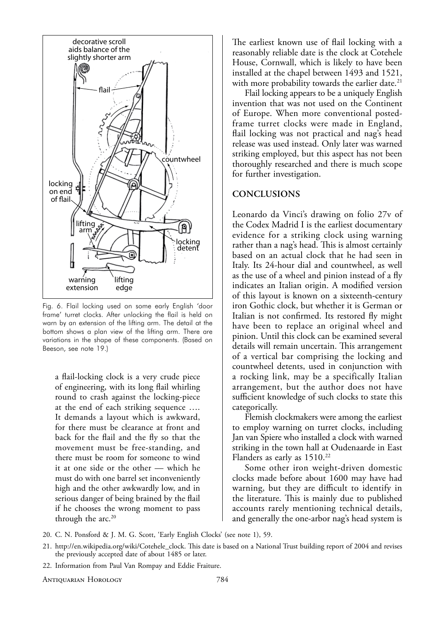

Fig. 6. Flail locking used on some early English 'door frame' turret clocks. After unlocking the flail is held on warn by an extension of the lifting arm. The detail at the bottom shows a plan view of the lifting arm. There are variations in the shape of these components. (Based on Beeson, see note 19.)

a flail-locking clock is a very crude piece of engineering, with its long flail whirling round to crash against the locking-piece at the end of each striking sequence …. It demands a layout which is awkward, for there must be clearance at front and back for the flail and the fly so that the movement must be free-standing, and there must be room for someone to wind it at one side or the other — which he must do with one barrel set inconveniently high and the other awkwardly low, and in serious danger of being brained by the flail if he chooses the wrong moment to pass through the arc.<sup>20</sup>

The earliest known use of flail locking with a reasonably reliable date is the clock at Cotehele House, Cornwall, which is likely to have been installed at the chapel between 1493 and 1521, with more probability towards the earlier date.<sup>21</sup>

Flail locking appears to be a uniquely English invention that was not used on the Continent of Europe. When more conventional postedframe turret clocks were made in England, flail locking was not practical and nag's head release was used instead. Only later was warned striking employed, but this aspect has not been thoroughly researched and there is much scope for further investigation.

#### **concLuSionS**

Leonardo da Vinci's drawing on folio 27v of the Codex Madrid I is the earliest documentary evidence for a striking clock using warning rather than a nag's head. This is almost certainly based on an actual clock that he had seen in Italy. Its 24-hour dial and countwheel, as well as the use of a wheel and pinion instead of a fly indicates an Italian origin. A modified version of this layout is known on a sixteenth-century iron Gothic clock, but whether it is German or Italian is not confirmed. Its restored fly might have been to replace an original wheel and pinion. Until this clock can be examined several details will remain uncertain. This arrangement of a vertical bar comprising the locking and countwheel detents, used in conjunction with a rocking link, may be a specifically Italian arrangement, but the author does not have sufficient knowledge of such clocks to state this categorically.

Flemish clockmakers were among the earliest to employ warning on turret clocks, including Jan van Spiere who installed a clock with warned striking in the town hall at Oudenaarde in East Flanders as early as 1510.<sup>22</sup>

Some other iron weight-driven domestic clocks made before about 1600 may have had warning, but they are difficult to identify in the literature. This is mainly due to published accounts rarely mentioning technical details, and generally the one-arbor nag's head system is

- 20. C. N. Ponsford & J. M. G. Scott, 'Early English Clocks' (see note 1), 59.
- 21. http://en.wikipedia.org/wiki/Cotehele\_clock. This date is based on a National Trust building report of 2004 and revises the previously accepted date of about 1485 or later.
- 22. Information from Paul Van Rompay and Eddie Fraiture.

Antiquarian Horology 784